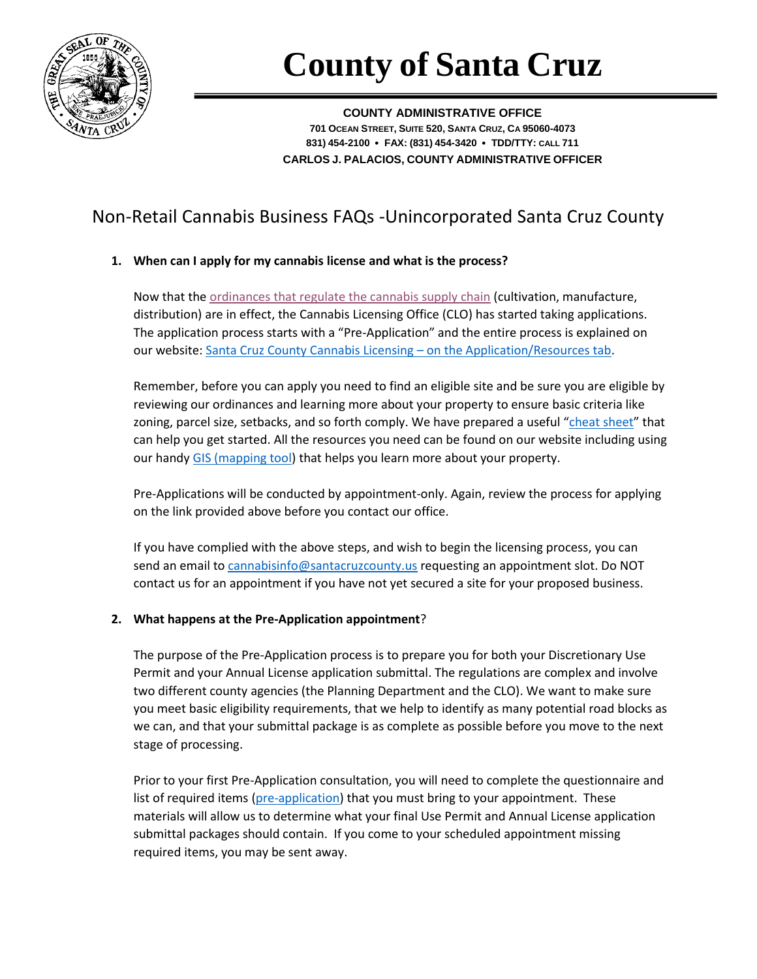

# **County of Santa Cruz**

**COUNTY ADMINISTRATIVE OFFICE 701 OCEAN STREET, SUITE 520, SANTA CRUZ, CA 95060-4073 831) 454-2100** • **FAX: (831) 454-3420** • **TDD/TTY: CALL 711 CARLOS J. PALACIOS, COUNTY ADMINISTRATIVE OFFICER**

# Non-Retail Cannabis Business FAQs -Unincorporated Santa Cruz County

# **1. When can I apply for my cannabis license and what is the process?**

Now that th[e ordinances that regulate the cannabis supply chain](http://www.co.santa-cruz.ca.us/CannabisLicensingOffice/Non-RetailLicenses.aspx) (cultivation, manufacture, distribution) are in effect, the Cannabis Licensing Office (CLO) has started taking applications. The application process starts with a "Pre-Application" and the entire process is explained on our website[: Santa Cruz County Cannabis Licensing](http://www.co.santa-cruz.ca.us/CannabisLicensingOffice/ApplicationResources.aspx) – on the Application/Resources tab.

Remember, before you can apply you need to find an eligible site and be sure you are eligible by reviewing our ordinances and learning more about your property to ensure basic criteria like zoning, parcel size, setbacks, and so forth comply. We have prepared a useful "[cheat sheet](http://www.co.santa-cruz.ca.us/Portals/0/County/clo/Cannabis_Use_License_Matrix.pdf)" that can help you get started. All the resources you need can be found on our website including using our handy [GIS \(mapping tool\)](http://gis.co.santa-cruz.ca.us/PublicGISWeb/) that helps you learn more about your property.

Pre-Applications will be conducted by appointment-only. Again, review the process for applying on the link provided above before you contact our office.

If you have complied with the above steps, and wish to begin the licensing process, you can send an email to [cannabisinfo@santacruzcounty.us](mailto:cannabisinfo@santacruzcounty.us) requesting an appointment slot. Do NOT contact us for an appointment if you have not yet secured a site for your proposed business.

# **2. What happens at the Pre-Application appointment**?

The purpose of the Pre-Application process is to prepare you for both your Discretionary Use Permit and your Annual License application submittal. The regulations are complex and involve two different county agencies (the Planning Department and the CLO). We want to make sure you meet basic eligibility requirements, that we help to identify as many potential road blocks as we can, and that your submittal package is as complete as possible before you move to the next stage of processing.

Prior to your first Pre-Application consultation, you will need to complete the questionnaire and list of required items [\(pre-application\)](http://www.co.santa-cruz.ca.us/Portals/0/County/clo/Non%20Retail%20Cannabis%20Licensing%20Pre-Application%20Form-fillable.pdf) that you must bring to your appointment. These materials will allow us to determine what your final Use Permit and Annual License application submittal packages should contain. If you come to your scheduled appointment missing required items, you may be sent away.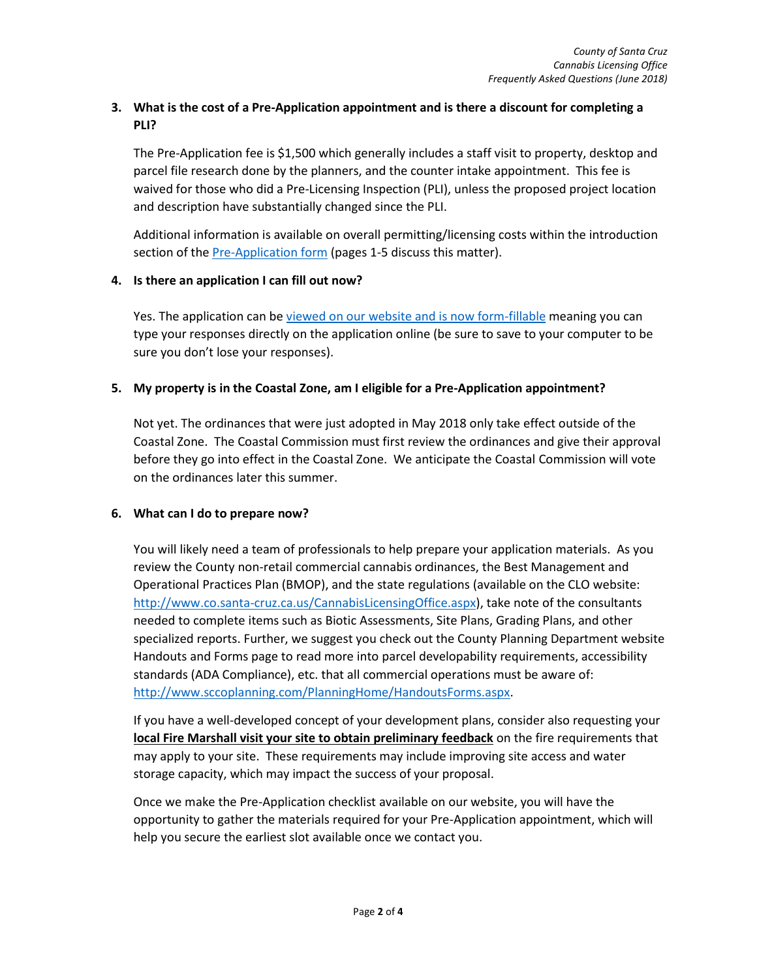# **3. What is the cost of a Pre-Application appointment and is there a discount for completing a PLI?**

The Pre-Application fee is \$1,500 which generally includes a staff visit to property, desktop and parcel file research done by the planners, and the counter intake appointment. This fee is waived for those who did a Pre-Licensing Inspection (PLI), unless the proposed project location and description have substantially changed since the PLI.

Additional information is available on overall permitting/licensing costs within the introduction section of the **Pre-Application form** (pages 1-5 discuss this matter).

#### **4. Is there an application I can fill out now?**

Yes. The application can b[e viewed on our website and is now form-fillable](http://www.co.santa-cruz.ca.us/Portals/0/County/clo/Non%20Retail%20Cannabis%20Licensing%20Pre-Application%20Form-fillable.pdf) meaning you can type your responses directly on the application online (be sure to save to your computer to be sure you don't lose your responses).

# **5. My property is in the Coastal Zone, am I eligible for a Pre-Application appointment?**

Not yet. The ordinances that were just adopted in May 2018 only take effect outside of the Coastal Zone. The Coastal Commission must first review the ordinances and give their approval before they go into effect in the Coastal Zone. We anticipate the Coastal Commission will vote on the ordinances later this summer.

# **6. What can I do to prepare now?**

You will likely need a team of professionals to help prepare your application materials. As you review the County non-retail commercial cannabis ordinances, the Best Management and Operational Practices Plan (BMOP), and the state regulations (available on the CLO website: [http://www.co.santa-cruz.ca.us/CannabisLicensingOffice.aspx\)](http://www.co.santa-cruz.ca.us/CannabisLicensingOffice.aspx), take note of the consultants needed to complete items such as Biotic Assessments, Site Plans, Grading Plans, and other specialized reports. Further, we suggest you check out the County Planning Department website Handouts and Forms page to read more into parcel developability requirements, accessibility standards (ADA Compliance), etc. that all commercial operations must be aware of: [http://www.sccoplanning.com/PlanningHome/HandoutsForms.aspx.](http://www.sccoplanning.com/PlanningHome/HandoutsForms.aspx)

If you have a well-developed concept of your development plans, consider also requesting your **local Fire Marshall visit your site to obtain preliminary feedback** on the fire requirements that may apply to your site. These requirements may include improving site access and water storage capacity, which may impact the success of your proposal.

Once we make the Pre-Application checklist available on our website, you will have the opportunity to gather the materials required for your Pre-Application appointment, which will help you secure the earliest slot available once we contact you.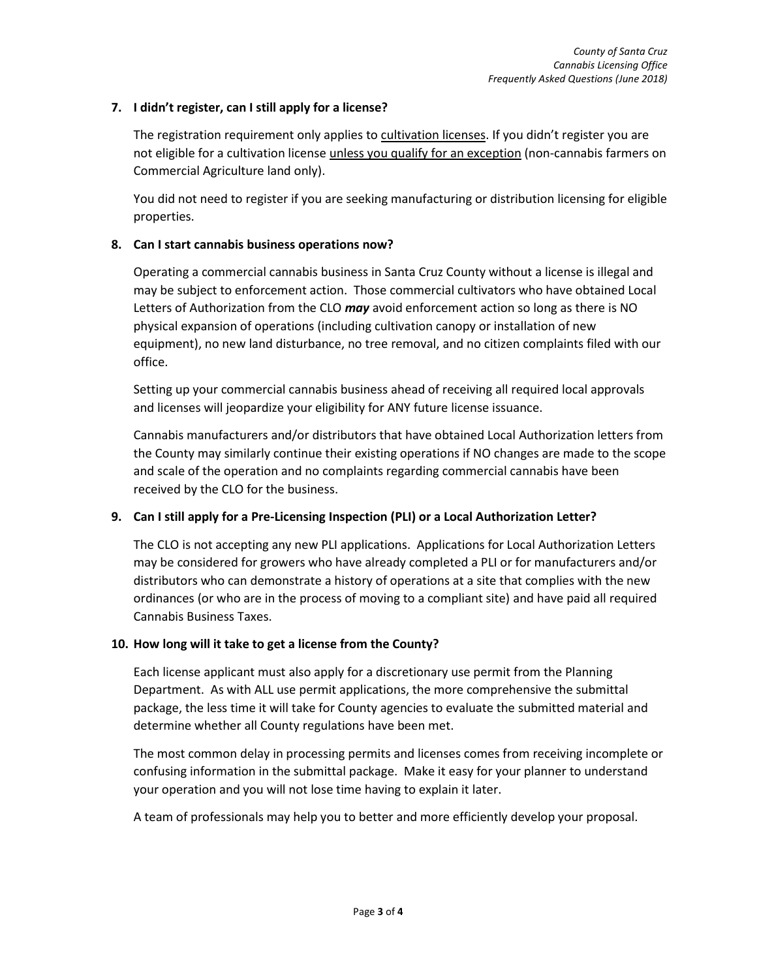### **7. I didn't register, can I still apply for a license?**

The registration requirement only applies to cultivation licenses. If you didn't register you are not eligible for a cultivation license unless you qualify for an exception (non-cannabis farmers on Commercial Agriculture land only).

You did not need to register if you are seeking manufacturing or distribution licensing for eligible properties.

#### **8. Can I start cannabis business operations now?**

Operating a commercial cannabis business in Santa Cruz County without a license is illegal and may be subject to enforcement action. Those commercial cultivators who have obtained Local Letters of Authorization from the CLO *may* avoid enforcement action so long as there is NO physical expansion of operations (including cultivation canopy or installation of new equipment), no new land disturbance, no tree removal, and no citizen complaints filed with our office.

Setting up your commercial cannabis business ahead of receiving all required local approvals and licenses will jeopardize your eligibility for ANY future license issuance.

Cannabis manufacturers and/or distributors that have obtained Local Authorization letters from the County may similarly continue their existing operations if NO changes are made to the scope and scale of the operation and no complaints regarding commercial cannabis have been received by the CLO for the business.

# **9. Can I still apply for a Pre-Licensing Inspection (PLI) or a Local Authorization Letter?**

The CLO is not accepting any new PLI applications. Applications for Local Authorization Letters may be considered for growers who have already completed a PLI or for manufacturers and/or distributors who can demonstrate a history of operations at a site that complies with the new ordinances (or who are in the process of moving to a compliant site) and have paid all required Cannabis Business Taxes.

#### **10. How long will it take to get a license from the County?**

Each license applicant must also apply for a discretionary use permit from the Planning Department. As with ALL use permit applications, the more comprehensive the submittal package, the less time it will take for County agencies to evaluate the submitted material and determine whether all County regulations have been met.

The most common delay in processing permits and licenses comes from receiving incomplete or confusing information in the submittal package. Make it easy for your planner to understand your operation and you will not lose time having to explain it later.

A team of professionals may help you to better and more efficiently develop your proposal.